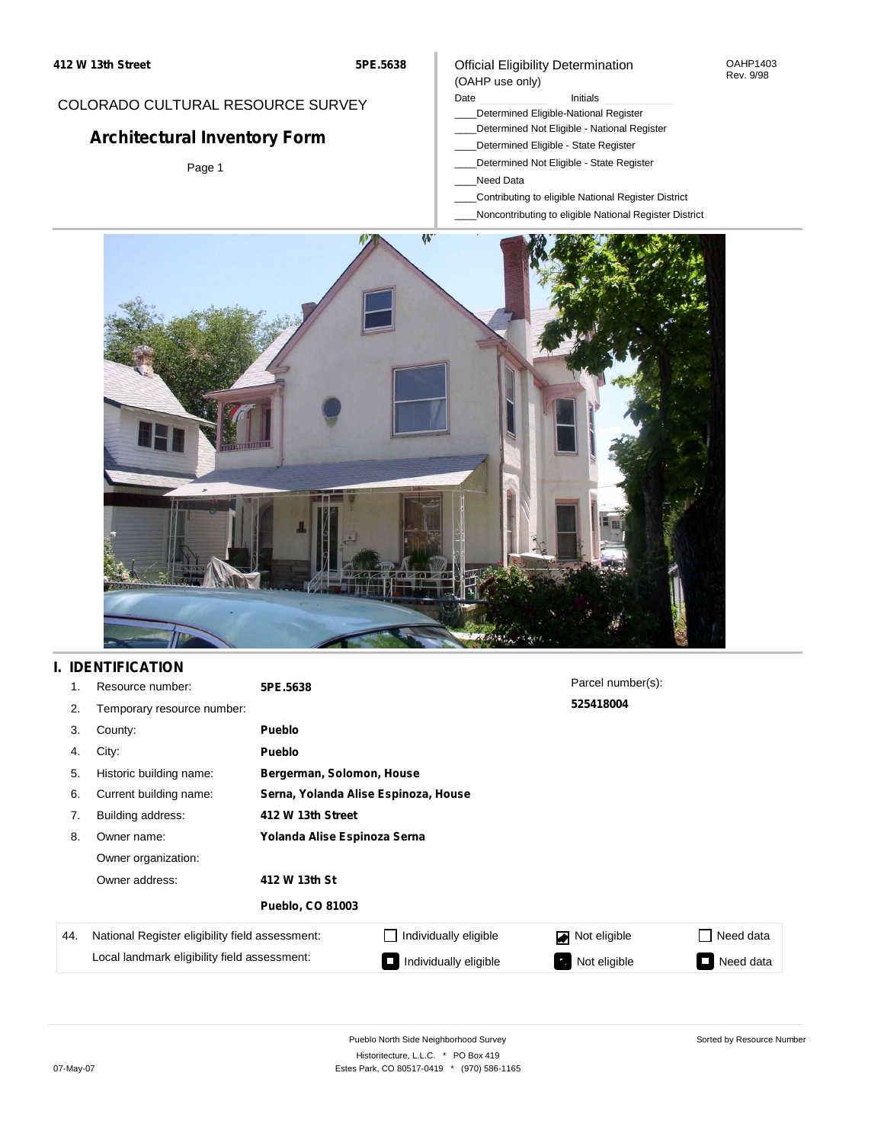#### Official Eligibility Determination (OAHP use only)

OAHP1403 Rev. 9/98

# COLORADO CULTURAL RESOURCE SURVEY

# **Architectural Inventory Form**

Page 1

#### Date **Initials** Initials

- \_\_\_\_Determined Eligible-National Register
- \_\_\_\_Determined Not Eligible National Register
- \_\_\_\_Determined Eligible State Register
- \_\_\_\_Determined Not Eligible State Register
- \_\_\_\_Need Data
- \_\_\_\_Contributing to eligible National Register District
- \_\_\_\_Noncontributing to eligible National Register District



# **I. IDENTIFICATION**

| 1.  | Resource number:                                | 5PE.5638                             |                           | Parcel number(s): |                       |  |  |  |
|-----|-------------------------------------------------|--------------------------------------|---------------------------|-------------------|-----------------------|--|--|--|
| 2.  | Temporary resource number:                      |                                      |                           | 525418004         |                       |  |  |  |
| 3.  | County:                                         | <b>Pueblo</b>                        |                           |                   |                       |  |  |  |
| 4.  | City:                                           | <b>Pueblo</b>                        |                           |                   |                       |  |  |  |
| 5.  | Historic building name:                         |                                      | Bergerman, Solomon, House |                   |                       |  |  |  |
| 6.  | Current building name:                          | Serna, Yolanda Alise Espinoza, House |                           |                   |                       |  |  |  |
| 7.  | Building address:                               | 412 W 13th Street                    |                           |                   |                       |  |  |  |
| 8.  | Owner name:                                     | Yolanda Alise Espinoza Serna         |                           |                   |                       |  |  |  |
|     | Owner organization:                             |                                      |                           |                   |                       |  |  |  |
|     | Owner address:                                  | 412 W 13th St                        |                           |                   |                       |  |  |  |
|     |                                                 | <b>Pueblo, CO 81003</b>              |                           |                   |                       |  |  |  |
| 44. | National Register eligibility field assessment: |                                      | Individually eligible     | Not eligible      | Need data<br><b>I</b> |  |  |  |
|     | Local landmark eligibility field assessment:    |                                      | Individually eligible     | Not eligible      | Need data<br>Ξ        |  |  |  |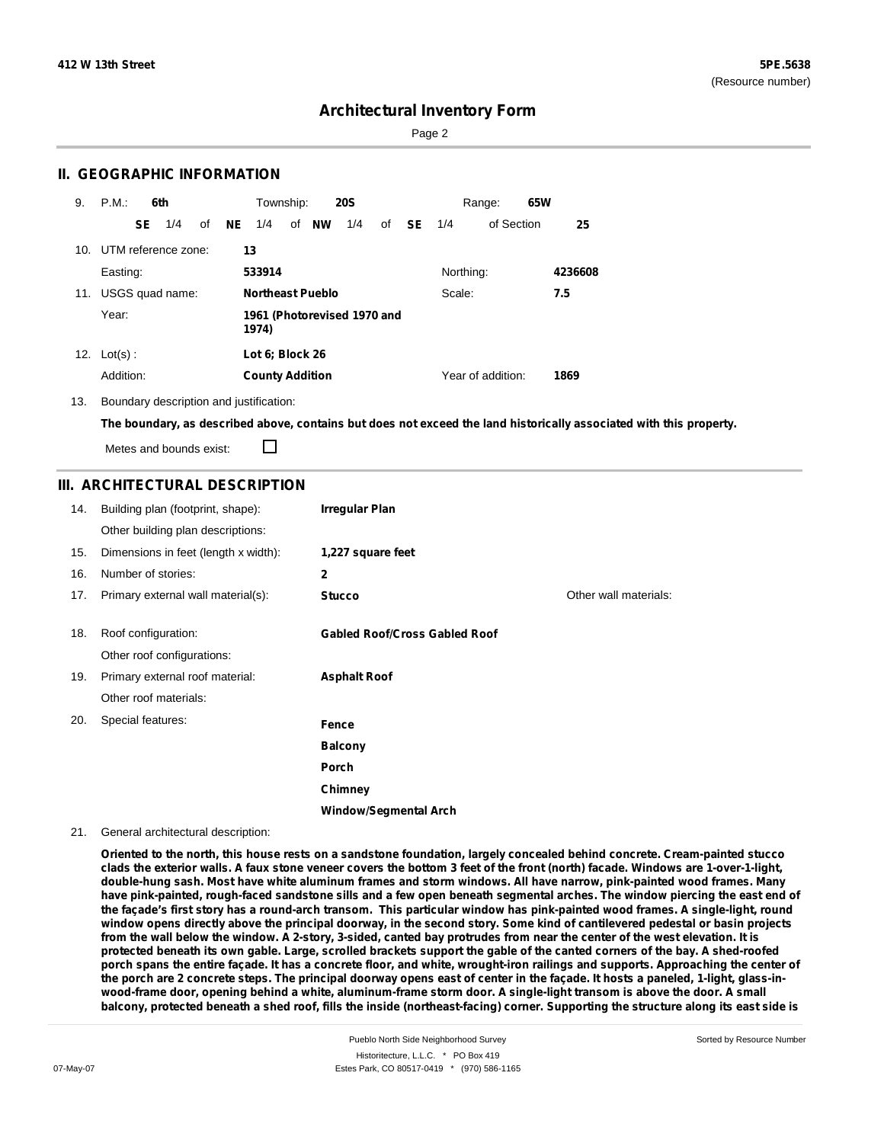Sorted by Resource Number

### **Architectural Inventory Form**

Page 2

### **II. GEOGRAPHIC INFORMATION**

| 9.  | P.M.                    |     | 6th             |    |     | Township:                            |  |                         | <b>20S</b> |    |           |           | Range:            | 65W |         |
|-----|-------------------------|-----|-----------------|----|-----|--------------------------------------|--|-------------------------|------------|----|-----------|-----------|-------------------|-----|---------|
|     |                         | SE. | 1/4             | of | NE. | 1/4                                  |  | of NW                   | 1/4        | of | <b>SE</b> | 1/4       | of Section        |     | 25      |
|     | 10. UTM reference zone: |     |                 |    | 13  |                                      |  |                         |            |    |           |           |                   |     |         |
|     | Easting:                |     |                 |    |     | 533914                               |  |                         |            |    |           | Northing: |                   |     | 4236608 |
| 11. |                         |     | USGS quad name: |    |     |                                      |  | <b>Northeast Pueblo</b> |            |    |           | Scale:    |                   |     | 7.5     |
|     | Year:                   |     |                 |    |     | 1961 (Photorevised 1970 and<br>1974) |  |                         |            |    |           |           |                   |     |         |
| 12. | $Lot(s)$ :              |     |                 |    |     | Lot 6; Block 26                      |  |                         |            |    |           |           |                   |     |         |
|     | Addition:               |     |                 |    |     | <b>County Addition</b>               |  |                         |            |    |           |           | Year of addition: |     | 1869    |

13. Boundary description and justification:

The boundary, as described above, contains but does not exceed the land historically associated with this property.

П Metes and bounds exist:

#### **III. ARCHITECTURAL DESCRIPTION**

| 14. | Building plan (footprint, shape):    | <b>Irregular Plan</b>                |                       |
|-----|--------------------------------------|--------------------------------------|-----------------------|
|     | Other building plan descriptions:    |                                      |                       |
| 15. | Dimensions in feet (length x width): | 1,227 square feet                    |                       |
| 16. | Number of stories:                   | 2                                    |                       |
| 17. | Primary external wall material(s):   | <b>Stucco</b>                        | Other wall materials: |
|     |                                      |                                      |                       |
| 18. | Roof configuration:                  | <b>Gabled Roof/Cross Gabled Roof</b> |                       |
|     | Other roof configurations:           |                                      |                       |
| 19. | Primary external roof material:      | <b>Asphalt Roof</b>                  |                       |
|     | Other roof materials:                |                                      |                       |
| 20. | Special features:                    | Fence                                |                       |
|     |                                      | <b>Balcony</b>                       |                       |
|     |                                      | <b>Porch</b>                         |                       |
|     |                                      | Chimney                              |                       |
|     |                                      | <b>Window/Segmental Arch</b>         |                       |

#### 21. General architectural description:

Oriented to the north, this house rests on a sandstone foundation, largely concealed behind concrete. Cream-painted stucco clads the exterior walls. A faux stone veneer covers the bottom 3 feet of the front (north) facade. Windows are 1-over-1-light, double-hung sash. Most have white aluminum frames and storm windows. All have narrow, pink-painted wood frames. Many have pink-painted, rough-faced sandstone sills and a few open beneath segmental arches. The window piercing the east end of the façade's first story has a round-arch transom. This particular window has pink-painted wood frames. A single-light, round window opens directly above the principal doorway, in the second story. Some kind of cantilevered pedestal or basin projects from the wall below the window. A 2-story, 3-sided, canted bay protrudes from near the center of the west elevation. It is protected beneath its own gable. Large, scrolled brackets support the gable of the canted corners of the bay. A shed-roofed porch spans the entire facade. It has a concrete floor, and white, wrought-iron railings and supports. Approaching the center of the porch are 2 concrete steps. The principal doorway opens east of center in the façade. It hosts a paneled, 1-light, glass-inwood-frame door, opening behind a white, aluminum-frame storm door. A single-light transom is above the door. A small balcony, protected beneath a shed roof, fills the inside (northeast-facing) corner. Supporting the structure along its east side is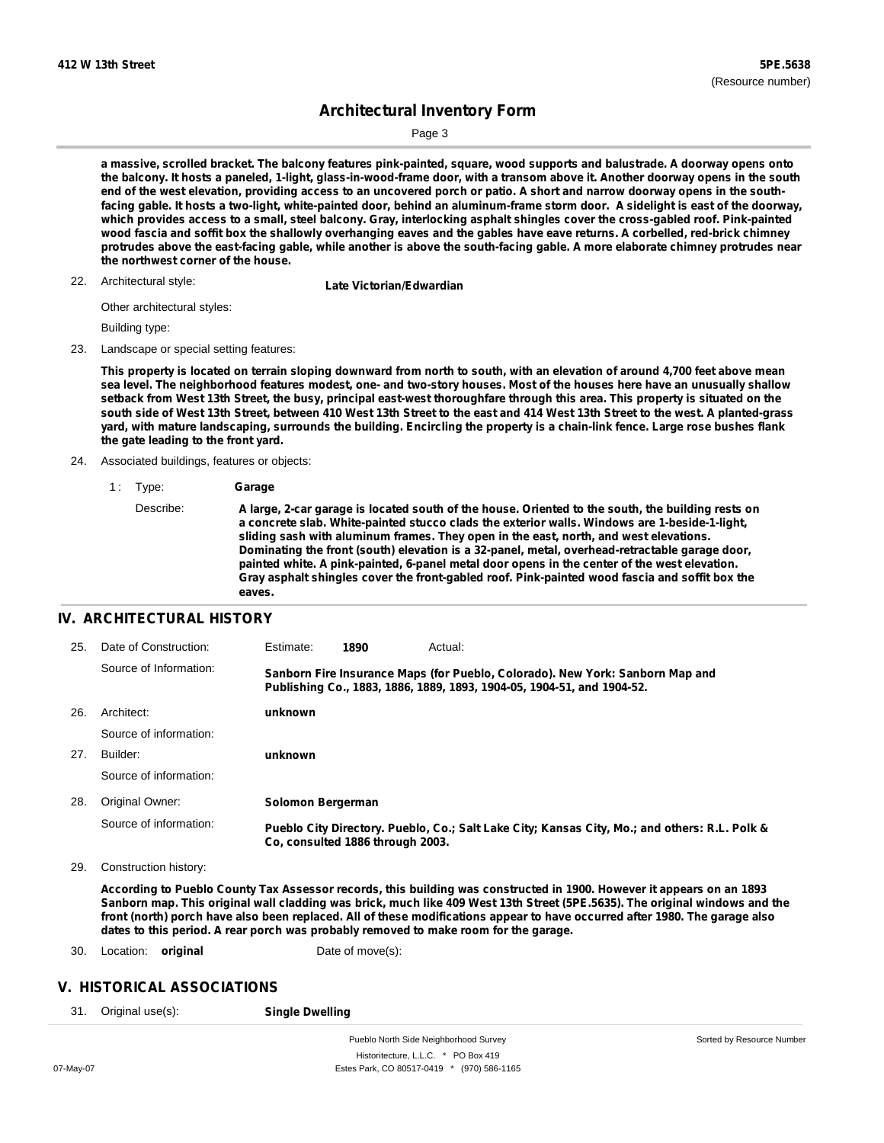Page 3

a massive, scrolled bracket. The balcony features pink-painted, square, wood supports and balustrade. A doorway opens onto the balcony. It hosts a paneled, 1-light, glass-in-wood-frame door, with a transom above it. Another doorway opens in the south end of the west elevation, providing access to an uncovered porch or patio. A short and narrow doorway opens in the southfacing gable. It hosts a two-light, white-painted door, behind an aluminum-frame storm door. A sidelight is east of the doorway, which provides access to a small, steel balcony. Gray, interlocking asphalt shingles cover the cross-gabled roof. Pink-painted wood fascia and soffit box the shallowly overhanging eaves and the gables have eave returns. A corbelled, red-brick chimney protrudes above the east-facing gable, while another is above the south-facing gable. A more elaborate chimney protrudes near **the northwest corner of the house.**

22. Architectural style:

**Late Victorian/Edwardian** 

Other architectural styles:

Building type:

23. Landscape or special setting features:

This property is located on terrain sloping downward from north to south, with an elevation of around 4,700 feet above mean sea level. The neighborhood features modest, one- and two-story houses. Most of the houses here have an unusually shallow setback from West 13th Street, the busy, principal east-west thoroughfare through this area. This property is situated on the south side of West 13th Street, between 410 West 13th Street to the east and 414 West 13th Street to the west. A planted-grass yard, with mature landscaping, surrounds the building. Encircling the property is a chain-link fence. Large rose bushes flank **the gate leading to the front yard.**

- 24. Associated buildings, features or objects:
	- 1 : Type: **Garage**

### **IV. ARCHITECTURAL HISTORY**

| 25. | Date of Construction:  | Estimate:         | 1890                             | Actual:                                                                                                                                                 |
|-----|------------------------|-------------------|----------------------------------|---------------------------------------------------------------------------------------------------------------------------------------------------------|
|     | Source of Information: |                   |                                  | Sanborn Fire Insurance Maps (for Pueblo, Colorado). New York: Sanborn Map and<br>Publishing Co., 1883, 1886, 1889, 1893, 1904-05, 1904-51, and 1904-52. |
| 26. | Architect:             | unknown           |                                  |                                                                                                                                                         |
|     | Source of information: |                   |                                  |                                                                                                                                                         |
| 27. | Builder:               | unknown           |                                  |                                                                                                                                                         |
|     | Source of information: |                   |                                  |                                                                                                                                                         |
| 28. | Original Owner:        | Solomon Bergerman |                                  |                                                                                                                                                         |
|     | Source of information: |                   | Co. consulted 1886 through 2003. | Pueblo City Directory. Pueblo, Co.; Salt Lake City; Kansas City, Mo.; and others: R.L. Polk &                                                           |

29. Construction history:

According to Pueblo County Tax Assessor records, this building was constructed in 1900. However it appears on an 1893 Sanborn map. This original wall cladding was brick, much like 409 West 13th Street (5PE.5635). The original windows and the front (north) porch have also been replaced. All of these modifications appear to have occurred after 1980. The garage also **dates to this period. A rear porch was probably removed to make room for the garage.**

30. Location: **original** Date of move(s):

#### **V. HISTORICAL ASSOCIATIONS**

31. Original use(s): **Single Dwelling**

Describe: A large, 2-car garage is located south of the house. Oriented to the south, the building rests on **a concrete slab. White-painted stucco clads the exterior walls. Windows are 1-beside-1-light, sliding sash with aluminum frames. They open in the east, north, and west elevations. Dominating the front (south) elevation is a 32-panel, metal, overhead-retractable garage door, painted white. A pink-painted, 6-panel metal door opens in the center of the west elevation. Gray asphalt shingles cover the front-gabled roof. Pink-painted wood fascia and soffit box the eaves.**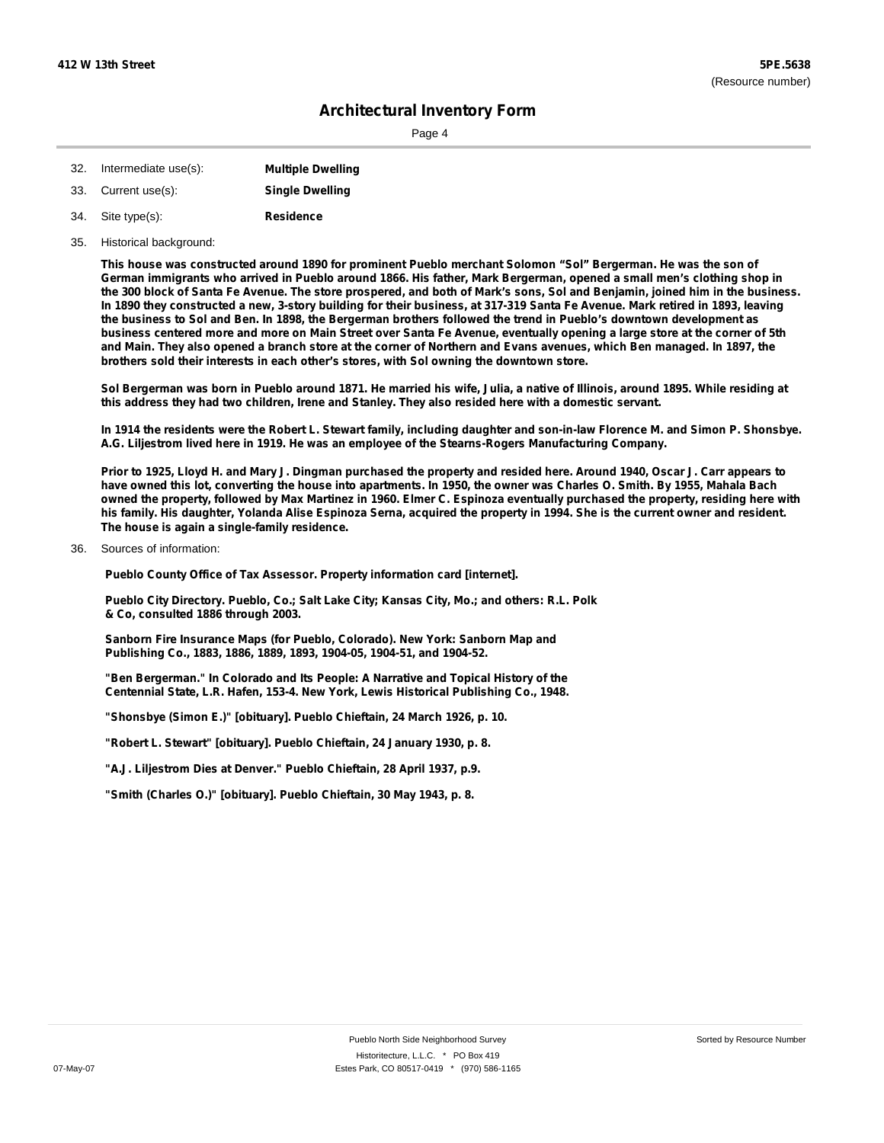Page 4

| 32. | Intermediate use(s): | <b>Multiple Dwelling</b> |
|-----|----------------------|--------------------------|
| 33. | Current use(s):      | <b>Single Dwelling</b>   |
| 34. | Site type(s):        | <b>Residence</b>         |

35. Historical background:

This house was constructed around 1890 for prominent Pueblo merchant Solomon "Sol" Bergerman. He was the son of German immigrants who arrived in Pueblo around 1866. His father, Mark Bergerman, opened a small men's clothing shop in the 300 block of Santa Fe Avenue. The store prospered, and both of Mark's sons, Sol and Benjamin, joined him in the business. In 1890 they constructed a new, 3-story building for their business, at 317-319 Santa Fe Avenue. Mark retired in 1893, leaving the business to Sol and Ben. In 1898, the Bergerman brothers followed the trend in Pueblo's downtown development as business centered more and more on Main Street over Santa Fe Avenue, eventually opening a large store at the corner of 5th and Main. They also opened a branch store at the corner of Northern and Evans avenues, which Ben managed. In 1897, the **brothers sold their interests in each other's stores, with Sol owning the downtown store.**

Sol Bergerman was born in Pueblo around 1871. He married his wife, Julia, a native of Illinois, around 1895. While residing at **this address they had two children, Irene and Stanley. They also resided here with a domestic servant.**

In 1914 the residents were the Robert L. Stewart family, including daughter and son-in-law Florence M. and Simon P. Shonsbye. **A.G. Liljestrom lived here in 1919. He was an employee of the Stearns-Rogers Manufacturing Company.**

Prior to 1925, Lloyd H. and Mary J. Dingman purchased the property and resided here. Around 1940, Oscar J. Carr appears to have owned this lot, converting the house into apartments. In 1950, the owner was Charles O. Smith. By 1955, Mahala Bach owned the property, followed by Max Martinez in 1960. Elmer C. Espinoza eventually purchased the property, residing here with his family. His daughter, Yolanda Alise Espinoza Serna, acquired the property in 1994. She is the current owner and resident. **The house is again a single-family residence.**

Sources of information: 36.

**Pueblo County Office of Tax Assessor. Property information card [internet].**

**Pueblo City Directory. Pueblo, Co.; Salt Lake City; Kansas City, Mo.; and others: R.L. Polk & Co, consulted 1886 through 2003.**

**Sanborn Fire Insurance Maps (for Pueblo, Colorado). New York: Sanborn Map and Publishing Co., 1883, 1886, 1889, 1893, 1904-05, 1904-51, and 1904-52.**

**"Ben Bergerman." In Colorado and Its People: A Narrative and Topical History of the Centennial State, L.R. Hafen, 153-4. New York, Lewis Historical Publishing Co., 1948.**

**"Shonsbye (Simon E.)" [obituary]. Pueblo Chieftain, 24 March 1926, p. 10.**

**"Robert L. Stewart" [obituary]. Pueblo Chieftain, 24 January 1930, p. 8.**

**"A.J. Liljestrom Dies at Denver." Pueblo Chieftain, 28 April 1937, p.9.**

**"Smith (Charles O.)" [obituary]. Pueblo Chieftain, 30 May 1943, p. 8.**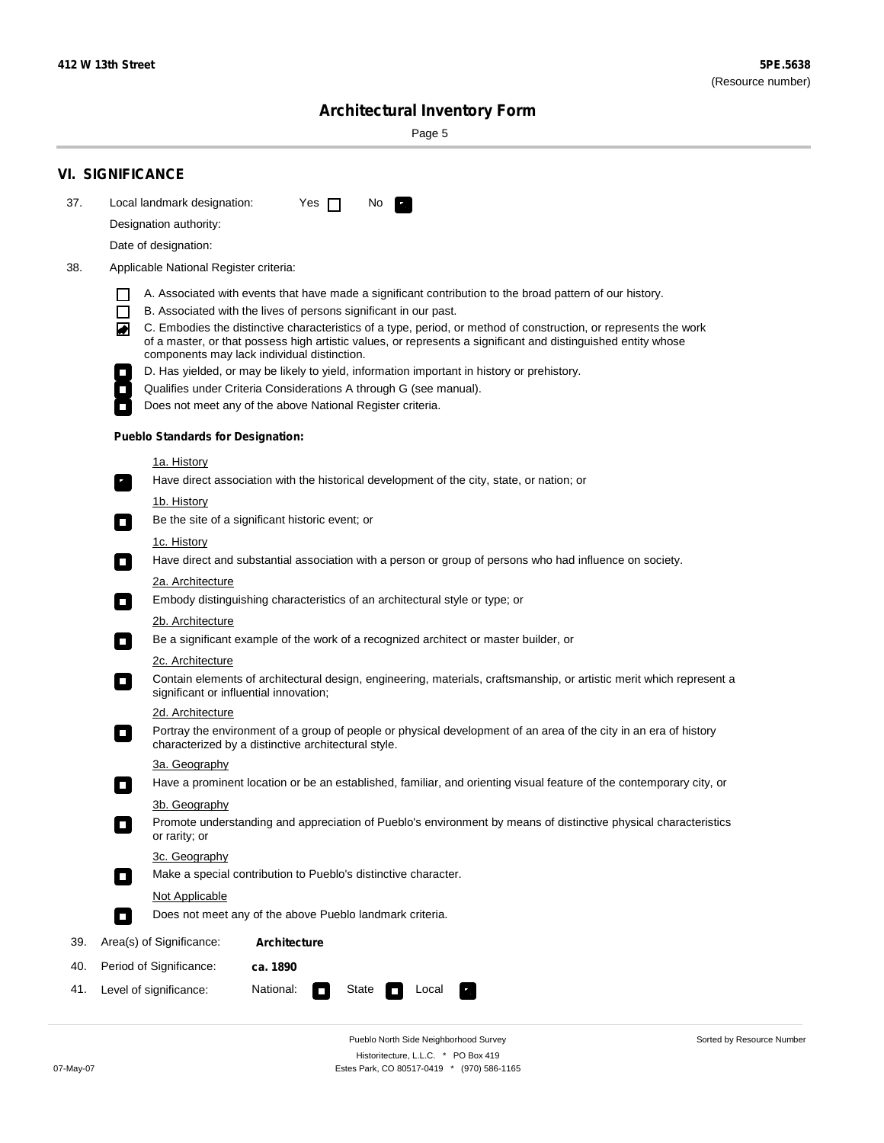÷

Sorted by Resource Number

# **Architectural Inventory Form**

Page 5

|     | <b>VI. SIGNIFICANCE</b>                                                                                                                                                                                                                                                               |  |  |  |  |  |  |  |
|-----|---------------------------------------------------------------------------------------------------------------------------------------------------------------------------------------------------------------------------------------------------------------------------------------|--|--|--|--|--|--|--|
| 37. | Local landmark designation:<br>Yes $\Box$<br>No.<br>$\mathbf{F}$                                                                                                                                                                                                                      |  |  |  |  |  |  |  |
|     | Designation authority:                                                                                                                                                                                                                                                                |  |  |  |  |  |  |  |
|     | Date of designation:                                                                                                                                                                                                                                                                  |  |  |  |  |  |  |  |
| 38. | Applicable National Register criteria:                                                                                                                                                                                                                                                |  |  |  |  |  |  |  |
|     | A. Associated with events that have made a significant contribution to the broad pattern of our history.                                                                                                                                                                              |  |  |  |  |  |  |  |
|     | $\Box$<br>B. Associated with the lives of persons significant in our past.                                                                                                                                                                                                            |  |  |  |  |  |  |  |
|     | C. Embodies the distinctive characteristics of a type, period, or method of construction, or represents the work<br>◙<br>of a master, or that possess high artistic values, or represents a significant and distinguished entity whose<br>components may lack individual distinction. |  |  |  |  |  |  |  |
|     | D. Has yielded, or may be likely to yield, information important in history or prehistory.                                                                                                                                                                                            |  |  |  |  |  |  |  |
|     | Qualifies under Criteria Considerations A through G (see manual).                                                                                                                                                                                                                     |  |  |  |  |  |  |  |
|     | Does not meet any of the above National Register criteria.                                                                                                                                                                                                                            |  |  |  |  |  |  |  |
|     | <b>Pueblo Standards for Designation:</b>                                                                                                                                                                                                                                              |  |  |  |  |  |  |  |
|     | <u>1a. History</u>                                                                                                                                                                                                                                                                    |  |  |  |  |  |  |  |
|     | Have direct association with the historical development of the city, state, or nation; or<br>$\overline{\phantom{a}}$ .                                                                                                                                                               |  |  |  |  |  |  |  |
|     | <u>1b. History</u>                                                                                                                                                                                                                                                                    |  |  |  |  |  |  |  |
|     | Be the site of a significant historic event; or<br>$\Box$                                                                                                                                                                                                                             |  |  |  |  |  |  |  |
|     | 1c. History                                                                                                                                                                                                                                                                           |  |  |  |  |  |  |  |
|     | Have direct and substantial association with a person or group of persons who had influence on society.<br>$\Box$                                                                                                                                                                     |  |  |  |  |  |  |  |
|     | 2a. Architecture                                                                                                                                                                                                                                                                      |  |  |  |  |  |  |  |
|     | Embody distinguishing characteristics of an architectural style or type; or<br>$\Box$                                                                                                                                                                                                 |  |  |  |  |  |  |  |
|     | 2b. Architecture                                                                                                                                                                                                                                                                      |  |  |  |  |  |  |  |
|     | Be a significant example of the work of a recognized architect or master builder, or<br>$\mathcal{L}_{\mathcal{A}}$                                                                                                                                                                   |  |  |  |  |  |  |  |
|     | 2c. Architecture                                                                                                                                                                                                                                                                      |  |  |  |  |  |  |  |
|     | Contain elements of architectural design, engineering, materials, craftsmanship, or artistic merit which represent a<br>О<br>significant or influential innovation;                                                                                                                   |  |  |  |  |  |  |  |
|     | 2d. Architecture                                                                                                                                                                                                                                                                      |  |  |  |  |  |  |  |
|     | Portray the environment of a group of people or physical development of an area of the city in an era of history<br>О<br>characterized by a distinctive architectural style.                                                                                                          |  |  |  |  |  |  |  |
|     | 3a. Geography                                                                                                                                                                                                                                                                         |  |  |  |  |  |  |  |
|     | Have a prominent location or be an established, familiar, and orienting visual feature of the contemporary city, or                                                                                                                                                                   |  |  |  |  |  |  |  |
|     | 3b. Geography<br>Promote understanding and appreciation of Pueblo's environment by means of distinctive physical characteristics<br>or rarity; or                                                                                                                                     |  |  |  |  |  |  |  |
|     | 3c. Geography                                                                                                                                                                                                                                                                         |  |  |  |  |  |  |  |
|     | Make a special contribution to Pueblo's distinctive character.<br>$\Box$                                                                                                                                                                                                              |  |  |  |  |  |  |  |
|     | Not Applicable                                                                                                                                                                                                                                                                        |  |  |  |  |  |  |  |
|     | Does not meet any of the above Pueblo landmark criteria.<br>П                                                                                                                                                                                                                         |  |  |  |  |  |  |  |
| 39. | Area(s) of Significance:<br><b>Architecture</b>                                                                                                                                                                                                                                       |  |  |  |  |  |  |  |
| 40. | Period of Significance:<br>ca. 1890                                                                                                                                                                                                                                                   |  |  |  |  |  |  |  |
| 41. | National:<br>Level of significance:<br>State<br>Local<br>$\Box$                                                                                                                                                                                                                       |  |  |  |  |  |  |  |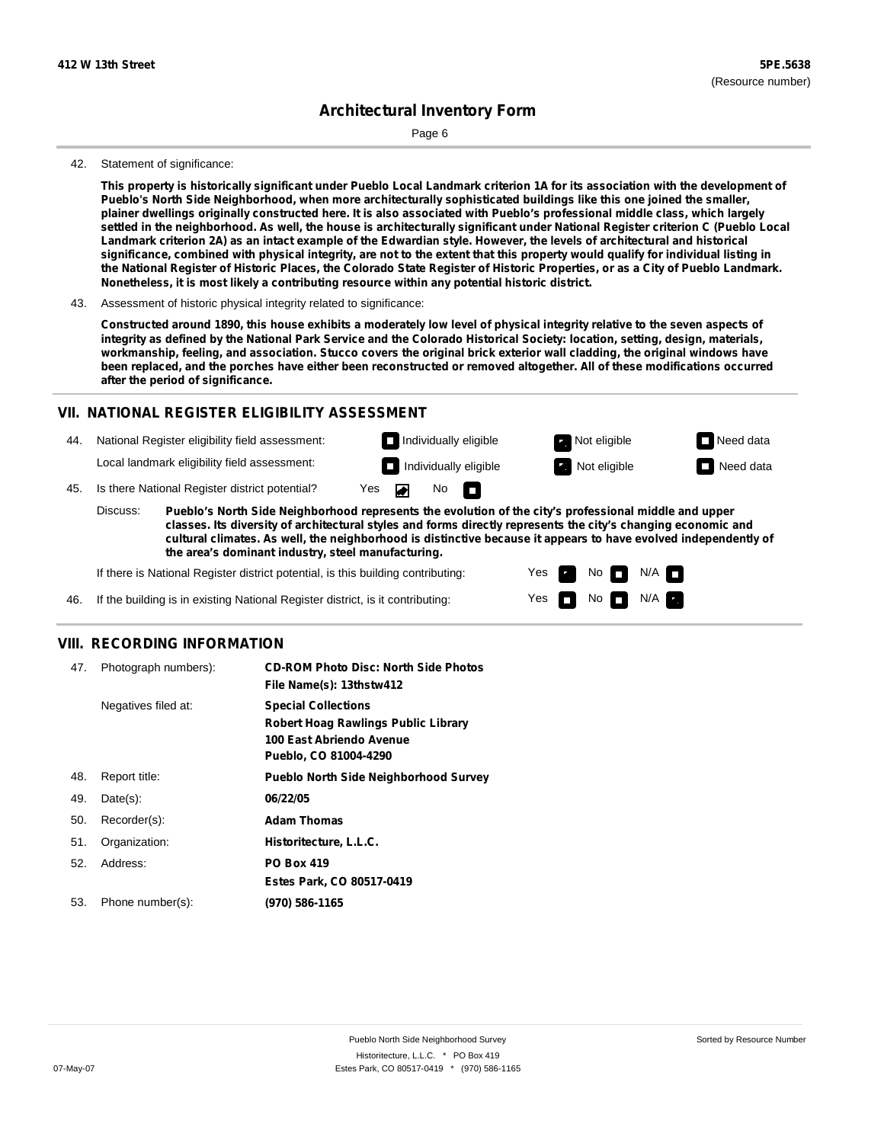Page 6

#### 42. Statement of significance:

This property is historically significant under Pueblo Local Landmark criterion 1A for its association with the development of **Pueblo's North Side Neighborhood, when more architecturally sophisticated buildings like this one joined the smaller,** plainer dwellings originally constructed here. It is also associated with Pueblo's professional middle class, which largely settled in the neighborhood. As well, the house is architecturally significant under National Register criterion C (Pueblo Local Landmark criterion 2A) as an intact example of the Edwardian style. However, the levels of architectural and historical significance, combined with physical integrity, are not to the extent that this property would qualify for individual listing in the National Register of Historic Places, the Colorado State Register of Historic Properties, or as a City of Pueblo Landmark. **Nonetheless, it is most likely a contributing resource within any potential historic district.**

Constructed around 1890, this house exhibits a moderately low level of physical integrity relative to the seven aspects of integrity as defined by the National Park Service and the Colorado Historical Society: location, setting, design, materials, workmanship, feeling, and association. Stucco covers the original brick exterior wall cladding, the original windows have been replaced, and the porches have either been reconstructed or removed altogether. All of these modifications occurred **after the period of significance.**

#### **VII. NATIONAL REGISTER ELIGIBILITY ASSESSMENT**

44. National Register eligibility field assessment: Local landmark eligibility field assessment:

**Individually eligible Not eligible** Not eligible **Need data** 45. Is there National Register district potential? Yes ▰ No IT.

**Pueblo's North Side Neighborhood represents the evolution of the city's professional middle and upper classes. Its diversity of architectural styles and forms directly represents the city's changing economic and cultural climates. As well, the neighborhood is distinctive because it appears to have evolved independently of the area's dominant industry, steel manufacturing.** Discuss:

> Yes Yes

No

**Individually eligible Not eligible** Not eligible **Need data** 

 $No$   $\neg$   $N/A$ 

 $N/A$ 

If there is National Register district potential, is this building contributing:

If the building is in existing National Register district, is it contributing: 46.

### **VIII. RECORDING INFORMATION**

| 47. | Photograph numbers): | <b>CD-ROM Photo Disc: North Side Photos</b><br>File Name(s): 13thstw412                                                       |
|-----|----------------------|-------------------------------------------------------------------------------------------------------------------------------|
|     | Negatives filed at:  | <b>Special Collections</b><br><b>Robert Hoag Rawlings Public Library</b><br>100 East Abriendo Avenue<br>Pueblo, CO 81004-4290 |
| 48. | Report title:        | <b>Pueblo North Side Neighborhood Survey</b>                                                                                  |
| 49. | $Date(s)$ :          | 06/22/05                                                                                                                      |
| 50. | Recorder(s):         | <b>Adam Thomas</b>                                                                                                            |
| 51. | Organization:        | Historitecture, L.L.C.                                                                                                        |
| 52. | Address:             | <b>PO Box 419</b>                                                                                                             |
|     |                      | Estes Park, CO 80517-0419                                                                                                     |
| 53. | Phone number(s):     | (970) 586-1165                                                                                                                |

<sup>43.</sup> Assessment of historic physical integrity related to significance: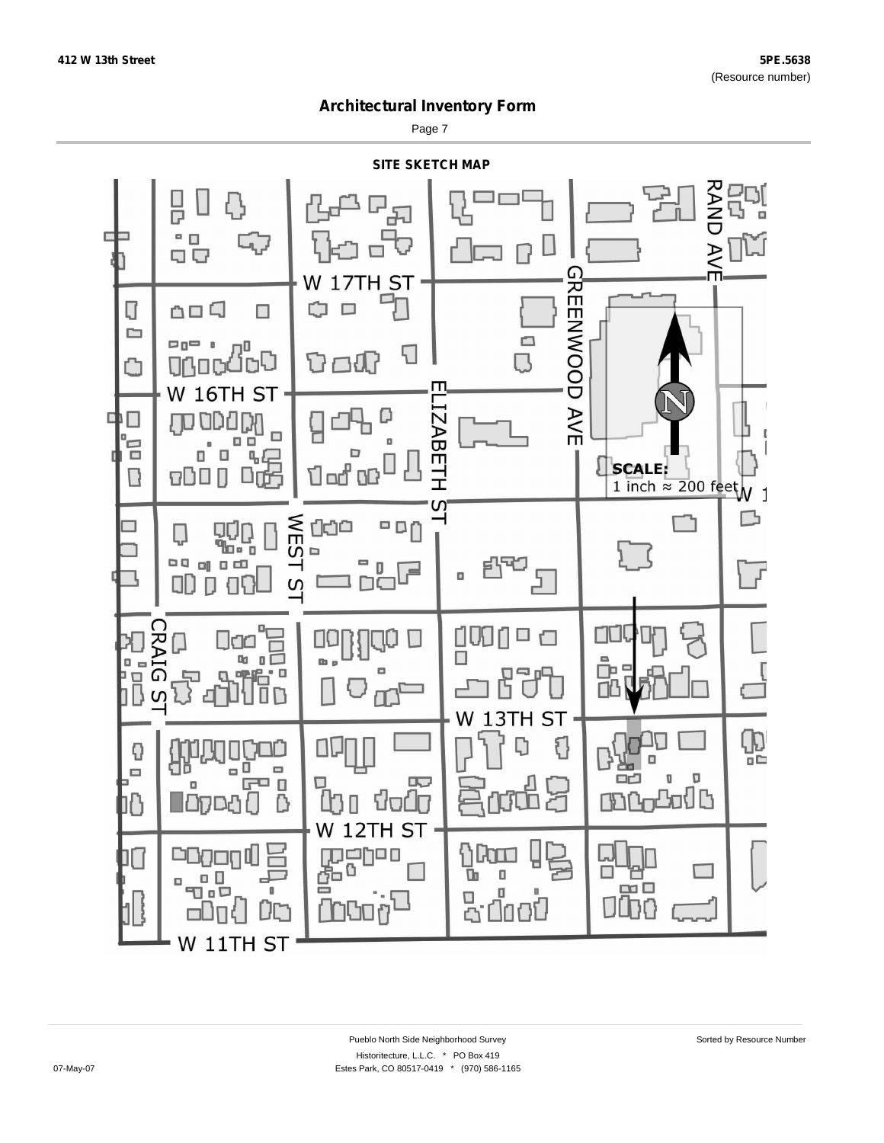Page 7